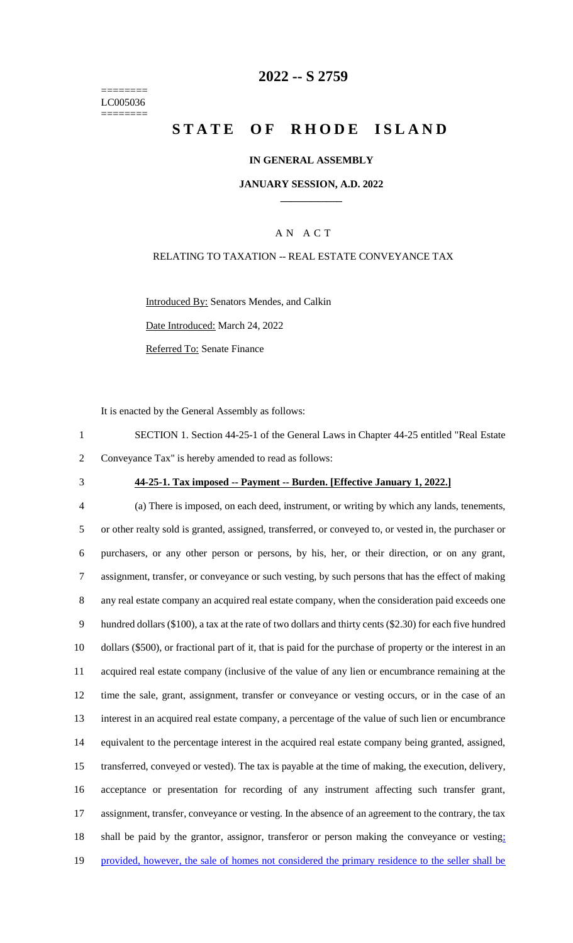======== LC005036 ========

## **2022 -- S 2759**

# **STATE OF RHODE ISLAND**

### **IN GENERAL ASSEMBLY**

### **JANUARY SESSION, A.D. 2022 \_\_\_\_\_\_\_\_\_\_\_\_**

## A N A C T

## RELATING TO TAXATION -- REAL ESTATE CONVEYANCE TAX

Introduced By: Senators Mendes, and Calkin

Date Introduced: March 24, 2022

Referred To: Senate Finance

It is enacted by the General Assembly as follows:

1 SECTION 1. Section 44-25-1 of the General Laws in Chapter 44-25 entitled "Real Estate 2 Conveyance Tax" is hereby amended to read as follows:

#### 3 **44-25-1. Tax imposed -- Payment -- Burden. [Effective January 1, 2022.]**

 (a) There is imposed, on each deed, instrument, or writing by which any lands, tenements, or other realty sold is granted, assigned, transferred, or conveyed to, or vested in, the purchaser or purchasers, or any other person or persons, by his, her, or their direction, or on any grant, assignment, transfer, or conveyance or such vesting, by such persons that has the effect of making any real estate company an acquired real estate company, when the consideration paid exceeds one hundred dollars (\$100), a tax at the rate of two dollars and thirty cents (\$2.30) for each five hundred dollars (\$500), or fractional part of it, that is paid for the purchase of property or the interest in an acquired real estate company (inclusive of the value of any lien or encumbrance remaining at the time the sale, grant, assignment, transfer or conveyance or vesting occurs, or in the case of an interest in an acquired real estate company, a percentage of the value of such lien or encumbrance equivalent to the percentage interest in the acquired real estate company being granted, assigned, transferred, conveyed or vested). The tax is payable at the time of making, the execution, delivery, acceptance or presentation for recording of any instrument affecting such transfer grant, assignment, transfer, conveyance or vesting. In the absence of an agreement to the contrary, the tax 18 shall be paid by the grantor, assignor, transferor or person making the conveyance or vesting; 19 provided, however, the sale of homes not considered the primary residence to the seller shall be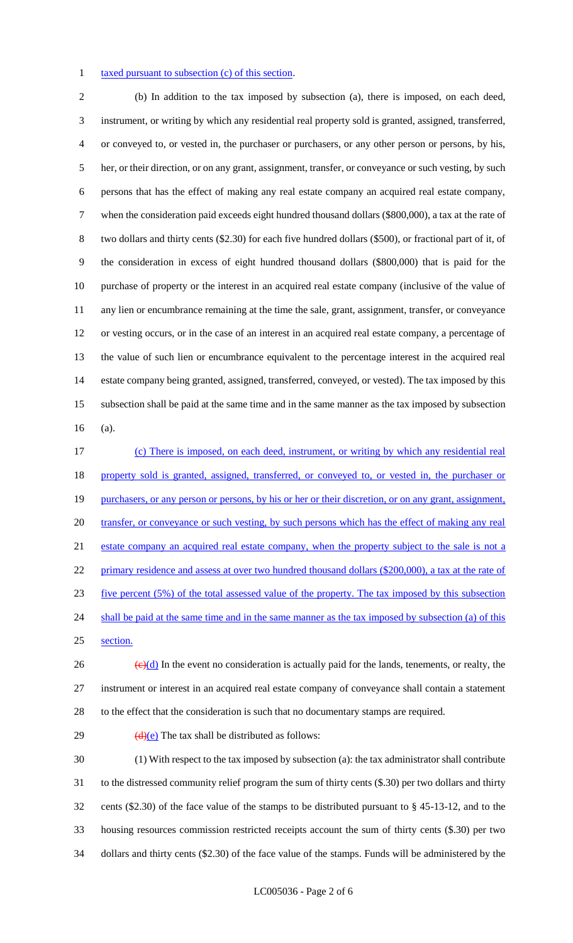### 1 taxed pursuant to subsection (c) of this section.

 (b) In addition to the tax imposed by subsection (a), there is imposed, on each deed, instrument, or writing by which any residential real property sold is granted, assigned, transferred, or conveyed to, or vested in, the purchaser or purchasers, or any other person or persons, by his, her, or their direction, or on any grant, assignment, transfer, or conveyance or such vesting, by such persons that has the effect of making any real estate company an acquired real estate company, when the consideration paid exceeds eight hundred thousand dollars (\$800,000), a tax at the rate of two dollars and thirty cents (\$2.30) for each five hundred dollars (\$500), or fractional part of it, of the consideration in excess of eight hundred thousand dollars (\$800,000) that is paid for the purchase of property or the interest in an acquired real estate company (inclusive of the value of any lien or encumbrance remaining at the time the sale, grant, assignment, transfer, or conveyance or vesting occurs, or in the case of an interest in an acquired real estate company, a percentage of the value of such lien or encumbrance equivalent to the percentage interest in the acquired real estate company being granted, assigned, transferred, conveyed, or vested). The tax imposed by this subsection shall be paid at the same time and in the same manner as the tax imposed by subsection (a).

 (c) There is imposed, on each deed, instrument, or writing by which any residential real property sold is granted, assigned, transferred, or conveyed to, or vested in, the purchaser or 19 purchasers, or any person or persons, by his or her or their discretion, or on any grant, assignment, 20 transfer, or conveyance or such vesting, by such persons which has the effect of making any real 21 estate company an acquired real estate company, when the property subject to the sale is not a 22 primary residence and assess at over two hundred thousand dollars (\$200,000), a tax at the rate of five percent (5%) of the total assessed value of the property. The tax imposed by this subsection 24 shall be paid at the same time and in the same manner as the tax imposed by subsection (a) of this section.

26  $\left(\frac{e}{d}\right)$  In the event no consideration is actually paid for the lands, tenements, or realty, the instrument or interest in an acquired real estate company of conveyance shall contain a statement to the effect that the consideration is such that no documentary stamps are required.

29  $\left(\frac{d}{e}\right)$  The tax shall be distributed as follows:

 (1) With respect to the tax imposed by subsection (a): the tax administrator shall contribute to the distressed community relief program the sum of thirty cents (\$.30) per two dollars and thirty cents (\$2.30) of the face value of the stamps to be distributed pursuant to § 45-13-12, and to the housing resources commission restricted receipts account the sum of thirty cents (\$.30) per two dollars and thirty cents (\$2.30) of the face value of the stamps. Funds will be administered by the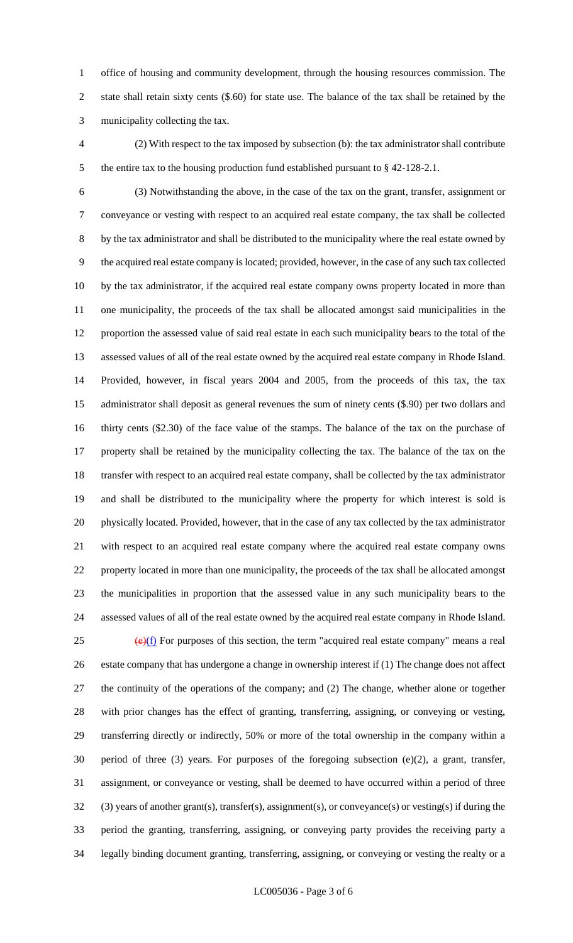office of housing and community development, through the housing resources commission. The state shall retain sixty cents (\$.60) for state use. The balance of the tax shall be retained by the municipality collecting the tax.

 (2) With respect to the tax imposed by subsection (b): the tax administrator shall contribute the entire tax to the housing production fund established pursuant to § 42-128-2.1.

 (3) Notwithstanding the above, in the case of the tax on the grant, transfer, assignment or conveyance or vesting with respect to an acquired real estate company, the tax shall be collected by the tax administrator and shall be distributed to the municipality where the real estate owned by the acquired real estate company is located; provided, however, in the case of any such tax collected by the tax administrator, if the acquired real estate company owns property located in more than one municipality, the proceeds of the tax shall be allocated amongst said municipalities in the proportion the assessed value of said real estate in each such municipality bears to the total of the assessed values of all of the real estate owned by the acquired real estate company in Rhode Island. Provided, however, in fiscal years 2004 and 2005, from the proceeds of this tax, the tax administrator shall deposit as general revenues the sum of ninety cents (\$.90) per two dollars and thirty cents (\$2.30) of the face value of the stamps. The balance of the tax on the purchase of property shall be retained by the municipality collecting the tax. The balance of the tax on the transfer with respect to an acquired real estate company, shall be collected by the tax administrator and shall be distributed to the municipality where the property for which interest is sold is physically located. Provided, however, that in the case of any tax collected by the tax administrator with respect to an acquired real estate company where the acquired real estate company owns property located in more than one municipality, the proceeds of the tax shall be allocated amongst the municipalities in proportion that the assessed value in any such municipality bears to the assessed values of all of the real estate owned by the acquired real estate company in Rhode Island.  $\left(\frac{e}{f}\right)$  For purposes of this section, the term "acquired real estate company" means a real

 estate company that has undergone a change in ownership interest if (1) The change does not affect the continuity of the operations of the company; and (2) The change, whether alone or together with prior changes has the effect of granting, transferring, assigning, or conveying or vesting, transferring directly or indirectly, 50% or more of the total ownership in the company within a period of three (3) years. For purposes of the foregoing subsection (e)(2), a grant, transfer, assignment, or conveyance or vesting, shall be deemed to have occurred within a period of three (3) years of another grant(s), transfer(s), assignment(s), or conveyance(s) or vesting(s) if during the period the granting, transferring, assigning, or conveying party provides the receiving party a legally binding document granting, transferring, assigning, or conveying or vesting the realty or a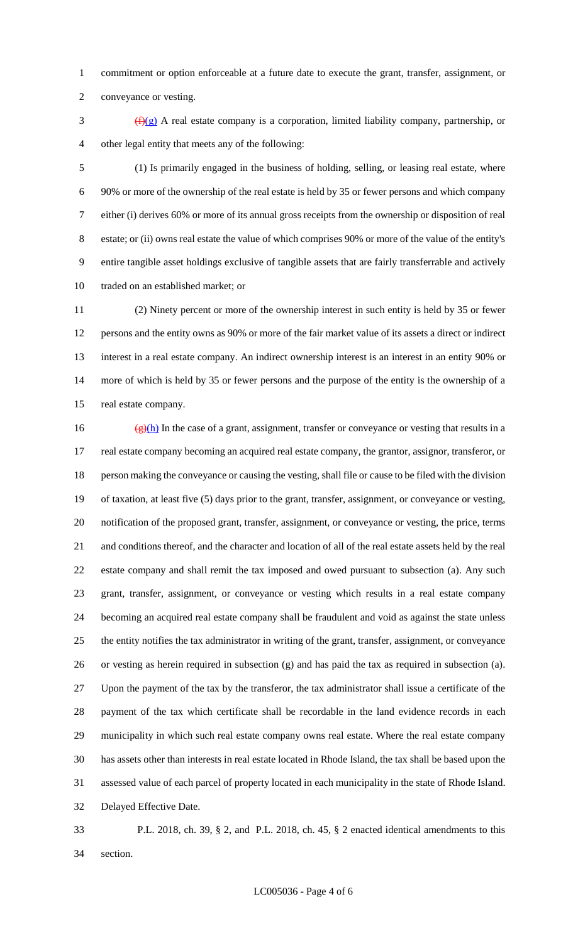commitment or option enforceable at a future date to execute the grant, transfer, assignment, or conveyance or vesting.

 $\frac{f(x)}{g}$  A real estate company is a corporation, limited liability company, partnership, or other legal entity that meets any of the following:

 (1) Is primarily engaged in the business of holding, selling, or leasing real estate, where 90% or more of the ownership of the real estate is held by 35 or fewer persons and which company either (i) derives 60% or more of its annual gross receipts from the ownership or disposition of real estate; or (ii) owns real estate the value of which comprises 90% or more of the value of the entity's entire tangible asset holdings exclusive of tangible assets that are fairly transferrable and actively traded on an established market; or

 (2) Ninety percent or more of the ownership interest in such entity is held by 35 or fewer persons and the entity owns as 90% or more of the fair market value of its assets a direct or indirect interest in a real estate company. An indirect ownership interest is an interest in an entity 90% or more of which is held by 35 or fewer persons and the purpose of the entity is the ownership of a real estate company.

 $(g)(h)$  In the case of a grant, assignment, transfer or conveyance or vesting that results in a real estate company becoming an acquired real estate company, the grantor, assignor, transferor, or person making the conveyance or causing the vesting, shall file or cause to be filed with the division of taxation, at least five (5) days prior to the grant, transfer, assignment, or conveyance or vesting, notification of the proposed grant, transfer, assignment, or conveyance or vesting, the price, terms and conditions thereof, and the character and location of all of the real estate assets held by the real estate company and shall remit the tax imposed and owed pursuant to subsection (a). Any such grant, transfer, assignment, or conveyance or vesting which results in a real estate company becoming an acquired real estate company shall be fraudulent and void as against the state unless the entity notifies the tax administrator in writing of the grant, transfer, assignment, or conveyance or vesting as herein required in subsection (g) and has paid the tax as required in subsection (a). Upon the payment of the tax by the transferor, the tax administrator shall issue a certificate of the payment of the tax which certificate shall be recordable in the land evidence records in each municipality in which such real estate company owns real estate. Where the real estate company has assets other than interests in real estate located in Rhode Island, the tax shall be based upon the assessed value of each parcel of property located in each municipality in the state of Rhode Island. Delayed Effective Date.

 P.L. 2018, ch. 39, § 2, and P.L. 2018, ch. 45, § 2 enacted identical amendments to this section.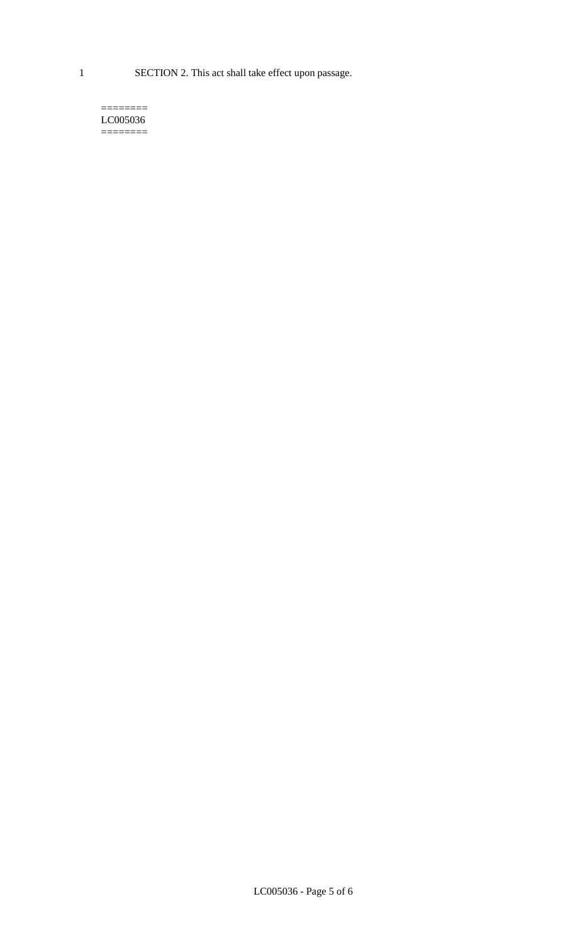1 SECTION 2. This act shall take effect upon passage.

#### $=$ LC005036 ========